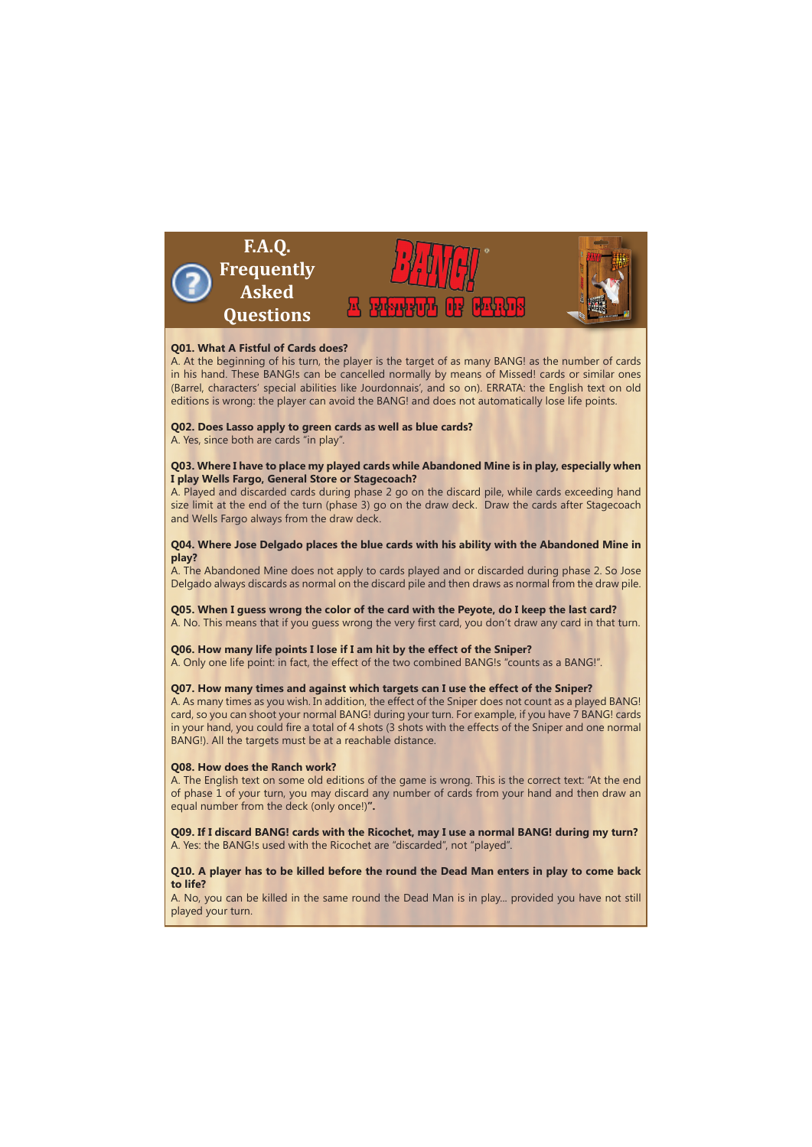

## **Q01. What A Fistful of Cards does?**

A. At the beginning of his turn, the player is the target of as many BANG! as the number of cards in his hand. These BANG!s can be cancelled normally by means of Missed! cards or similar ones (Barrel, characters' special abilities like Jourdonnais', and so on). ERRATA: the English text on old editions is wrong: the player can avoid the BANG! and does not automatically lose life points.

### **Q02. Does Lasso apply to green cards as well as blue cards?**

A. Yes, since both are cards "in play".

### **Q03. Where I have to place my played cards while Abandoned Mine is in play, especially when I play Wells Fargo, General Store or Stagecoach?**

A. Played and discarded cards during phase 2 go on the discard pile, while cards exceeding hand size limit at the end of the turn (phase 3) go on the draw deck. Draw the cards after Stagecoach and Wells Fargo always from the draw deck.

## **Q04. Where Jose Delgado places the blue cards with his ability with the Abandoned Mine in play?**

A. The Abandoned Mine does not apply to cards played and or discarded during phase 2. So Jose Delgado always discards as normal on the discard pile and then draws as normal from the draw pile.

**Q05. When I guess wrong the color of the card with the Peyote, do I keep the last card?** A. No. This means that if you guess wrong the very first card, you don't draw any card in that turn.

# **Q06. How many life points I lose if I am hit by the effect of the Sniper?**

A. Only one life point: in fact, the effect of the two combined BANG!s "counts as a BANG!".

### **Q07. How many times and against which targets can I use the effect of the Sniper?**

A. As many times as you wish. In addition, the effect of the Sniper does not count as a played BANG! card, so you can shoot your normal BANG! during your turn. For example, if you have 7 BANG! cards in your hand, you could fire a total of 4 shots (3 shots with the effects of the Sniper and one normal BANG!). All the targets must be at a reachable distance.

#### **Q08. How does the Ranch work?**

A. The English text on some old editions of the game is wrong. This is the correct text: "At the end of phase 1 of your turn, you may discard any number of cards from your hand and then draw an equal number from the deck (only once!)**".**

**Q09. If I discard BANG! cards with the Ricochet, may I use a normal BANG! during my turn?** A. Yes: the BANG!s used with the Ricochet are "discarded", not "played".

## **Q10. A player has to be killed before the round the Dead Man enters in play to come back to life?**

A. No, you can be killed in the same round the Dead Man is in play... provided you have not still played your turn.